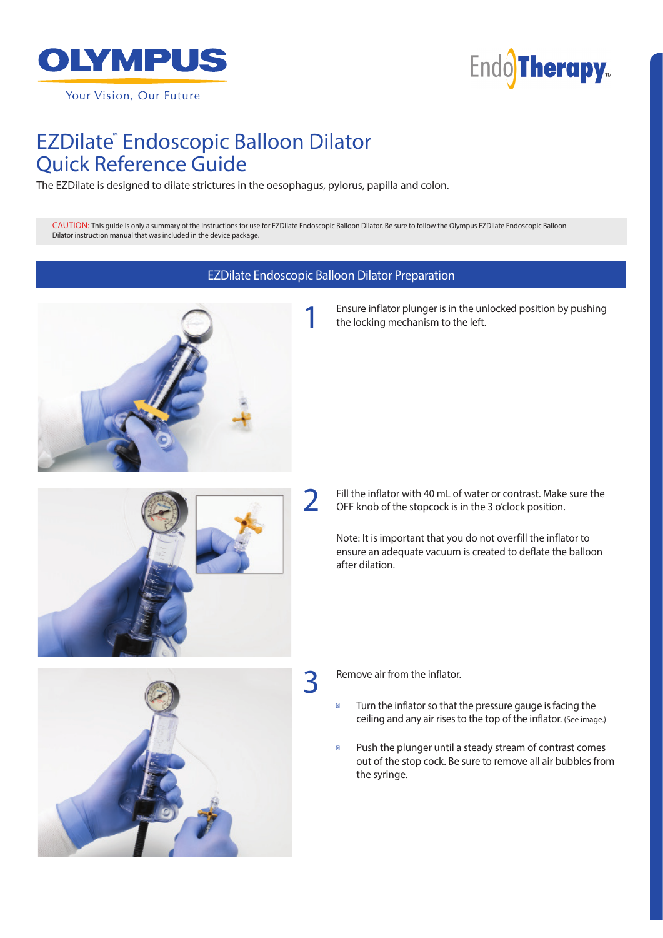

Your Vision, Our Future



### EZDilate ™ Endoscopic Balloon Dilator Quick Reference Guide

The EZDilate is designed to dilate strictures in the oesophagus, pylorus, papilla and colon.

CAUTION: This guide is only a summary of the instructions for use for EZDilate Endoscopic Balloon Dilator. Be sure to follow the Olympus EZDilate Endoscopic Balloon Dilator instruction manual that was included in the device package.

#### EZDilate Endoscopic Balloon Dilator Preparation



Ensure inflator plunger is in the unlocked position by pushing the locking mechanism to the left.



Fill the inflator with 40 mL of water or contrast. Make sure the OFF knob of the stopcock is in the 3 o'clock position.

Note: It is important that you do not overfill the inflator to ensure an adequate vacuum is created to deflate the balloon after dilation.



Remove air from the inflator.

3

Turn the inflator so that the pressure gauge is facing the ceiling and any air rises to the top of the inflator. (See image.)

Push the plunger until a steady stream of contrast comes out of the stop cock. Be sure to remove all air bubbles from the syringe.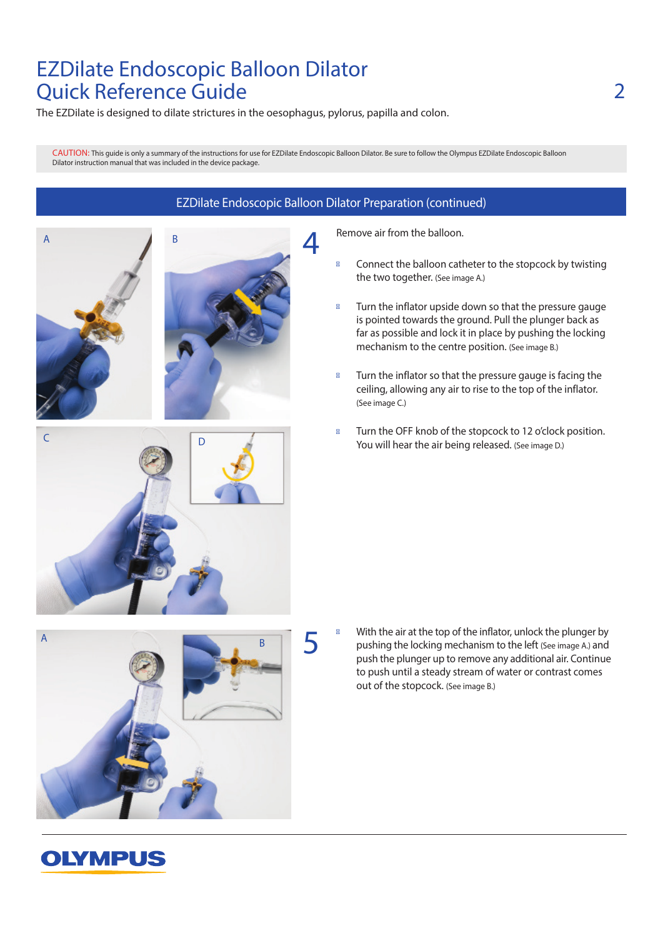# EZDilate Endoscopic Balloon Dilator Quick Reference Guide

The EZDilate is designed to dilate strictures in the oesophagus, pylorus, papilla and colon.

CAUTION: This guide is only a summary of the instructions for use for EZDilate Endoscopic Balloon Dilator. Be sure to follow the Olympus EZDilate Endoscopic Balloon Dilator instruction manual that was included in the device package.



#### EZDilate Endoscopic Balloon Dilator Preparation (continued)

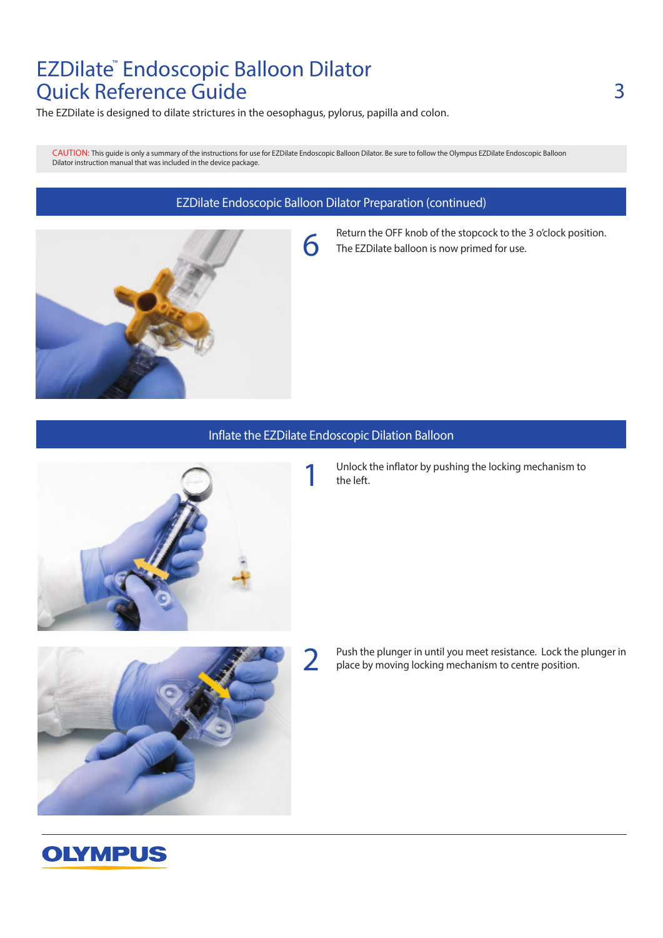# EZDilate ™ Endoscopic Balloon Dilator Quick Reference Guide

The EZDilate is designed to dilate strictures in the oesophagus, pylorus, papilla and colon.

CAUTION: This guide is only a summary of the instructions for use for EZDilate Endoscopic Balloon Dilator. Be sure to follow the Olympus EZDilate Endoscopic Balloon Dilator instruction manual that was included in the device package.

#### EZDilate Endoscopic Balloon Dilator Preparation (continued)



Return the OFF knob of the stopcock to the 3 o'clock position. The EZDilate balloon is now primed for use.

#### Inflate the EZDilate Endoscopic Dilation Balloon

2



Unlock the inflator by pushing the locking mechanism to the left.



**OLYMPUS** 

Push the plunger in until you meet resistance. Lock the plunger in place by moving locking mechanism to centre position.

# 3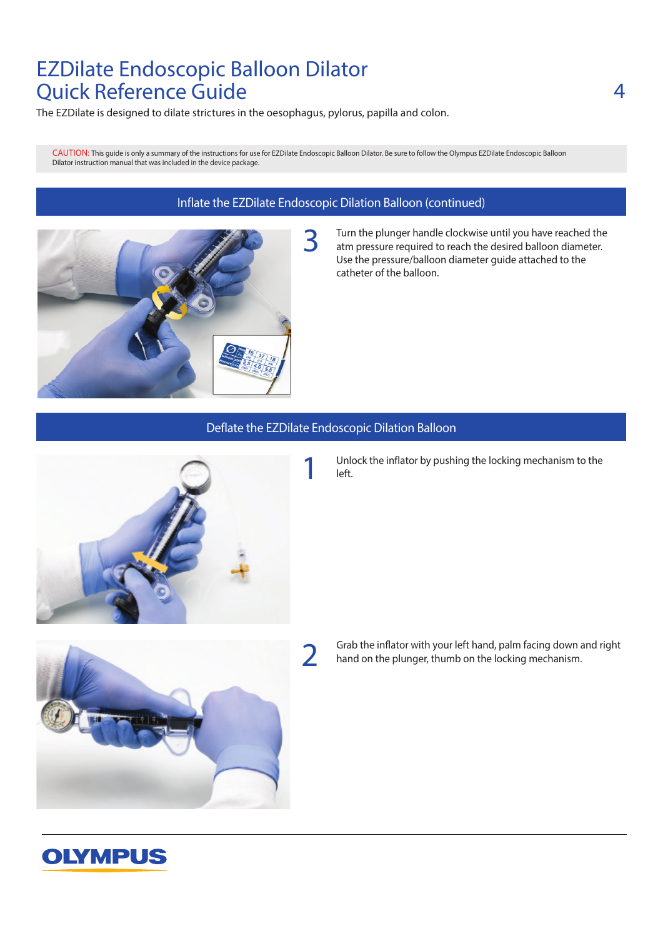# EZDilate Endoscopic Balloon Dilator Quick Reference Guide

The EZDilate is designed to dilate strictures in the oesophagus, pylorus, papilla and colon.

CAUTION: This guide is only a summary of the instructions for use for EZDilate Endoscopic Balloon Dilator. Be sure to follow the Olympus EZDilate Endoscopic Balloon Dilator instruction manual that was included in the device package.

### Inflate the EZDilate Endoscopic Dilation Balloon (continued)



#### Turn the plunger handle clockwise until you have reached the atm pressure required to reach the desired balloon diameter. Use the pressure/balloon diameter guide attached to the catheter of the balloon.

#### Deflate the EZDilate Endoscopic Dilation Balloon



Unlock the inflator by pushing the locking mechanism to the left.



Grab the inflator with your left hand, palm facing down and right hand on the plunger, thumb on the locking mechanism.

### **OLYMPUS**